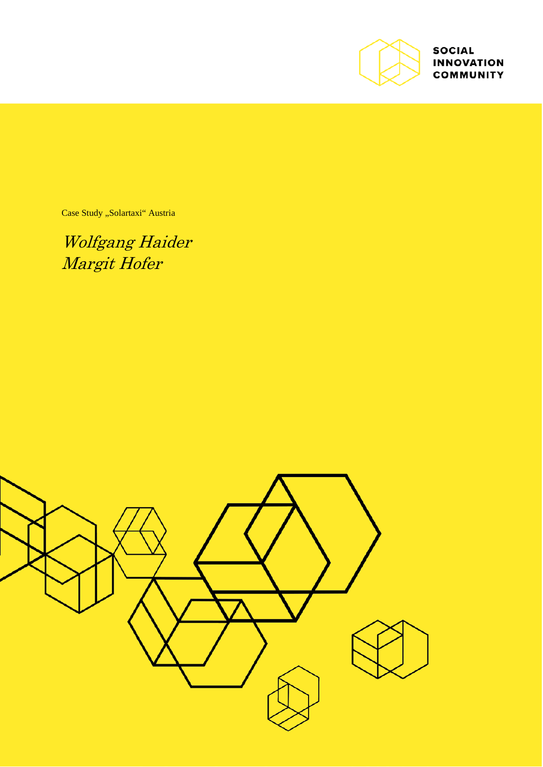

**SOCIAL INNOVATION COMMUNITY** 

Case Study "Solartaxi" Austria

Wolfgang Haider Margit Hofer

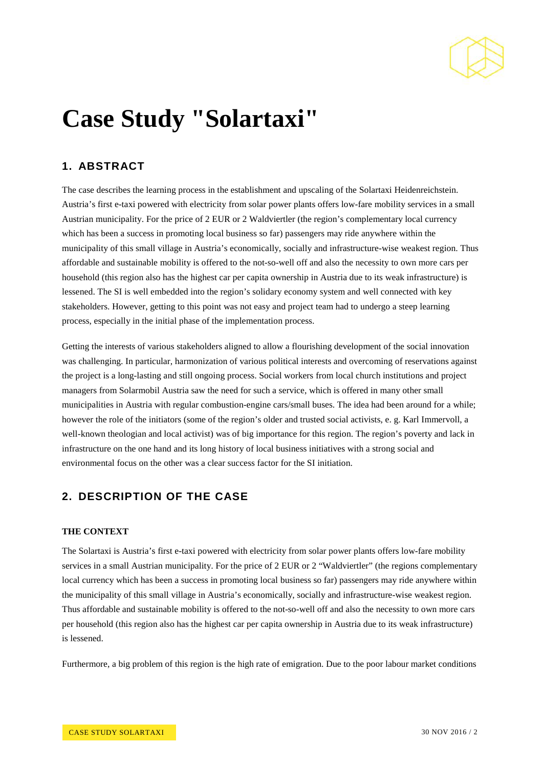

# **Case Study "Solartaxi"**

## **1. ABSTRACT**

The case describes the learning process in the establishment and upscaling of the Solartaxi Heidenreichstein. Austria's first e-taxi powered with electricity from solar power plants offers low-fare mobility services in a small Austrian municipality. For the price of 2 EUR or 2 Waldviertler (the region's complementary local currency which has been a success in promoting local business so far) passengers may ride anywhere within the municipality of this small village in Austria's economically, socially and infrastructure-wise weakest region. Thus affordable and sustainable mobility is offered to the not-so-well off and also the necessity to own more cars per household (this region also has the highest car per capita ownership in Austria due to its weak infrastructure) is lessened. The SI is well embedded into the region's solidary economy system and well connected with key stakeholders. However, getting to this point was not easy and project team had to undergo a steep learning process, especially in the initial phase of the implementation process.

Getting the interests of various stakeholders aligned to allow a flourishing development of the social innovation was challenging. In particular, harmonization of various political interests and overcoming of reservations against the project is a long-lasting and still ongoing process. Social workers from local church institutions and project managers from Solarmobil Austria saw the need for such a service, which is offered in many other small municipalities in Austria with regular combustion-engine cars/small buses. The idea had been around for a while; however the role of the initiators (some of the region's older and trusted social activists, e. g. Karl Immervoll, a well-known theologian and local activist) was of big importance for this region. The region's poverty and lack in infrastructure on the one hand and its long history of local business initiatives with a strong social and environmental focus on the other was a clear success factor for the SI initiation.

## **2. DESCRIPTION OF THE CASE**

### **THE CONTEXT**

The Solartaxi is Austria's first e-taxi powered with electricity from solar power plants offers low-fare mobility services in a small Austrian municipality. For the price of 2 EUR or 2 "Waldviertler" (the regions complementary local currency which has been a success in promoting local business so far) passengers may ride anywhere within the municipality of this small village in Austria's economically, socially and infrastructure-wise weakest region. Thus affordable and sustainable mobility is offered to the not-so-well off and also the necessity to own more cars per household (this region also has the highest car per capita ownership in Austria due to its weak infrastructure) is lessened.

Furthermore, a big problem of this region is the high rate of emigration. Due to the poor labour market conditions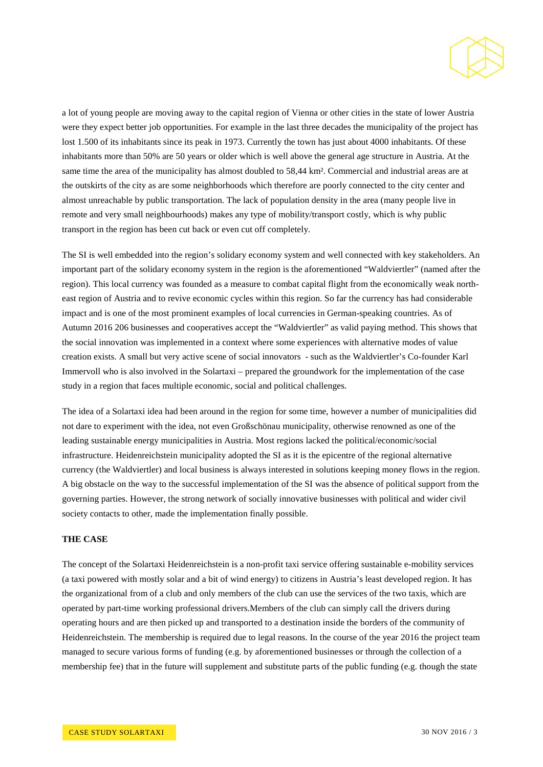

a lot of young people are moving away to the capital region of Vienna or other cities in the state of lower Austria were they expect better job opportunities. For example in the last three decades the municipality of the project has lost 1.500 of its inhabitants since its peak in 1973. Currently the town has just about 4000 inhabitants. Of these inhabitants more than 50% are 50 years or older which is well above the general age structure in Austria. At the same time the area of the municipality has almost doubled to 58,44 km². Commercial and industrial areas are at the outskirts of the city as are some neighborhoods which therefore are poorly connected to the city center and almost unreachable by public transportation. The lack of population density in the area (many people live in remote and very small neighbourhoods) makes any type of mobility/transport costly, which is why public transport in the region has been cut back or even cut off completely.

The SI is well embedded into the region's solidary economy system and well connected with key stakeholders. An important part of the solidary economy system in the region is the aforementioned "Waldviertler" (named after the region). This local currency was founded as a measure to combat capital flight from the economically weak northeast region of Austria and to revive economic cycles within this region. So far the currency has had considerable impact and is one of the most prominent examples of local currencies in German-speaking countries. As of Autumn 2016 206 businesses and cooperatives accept the "Waldviertler" as valid paying method. This shows that the social innovation was implemented in a context where some experiences with alternative modes of value creation exists. A small but very active scene of social innovators - such as the Waldviertler's Co-founder Karl Immervoll who is also involved in the Solartaxi – prepared the groundwork for the implementation of the case study in a region that faces multiple economic, social and political challenges.

The idea of a Solartaxi idea had been around in the region for some time, however a number of municipalities did not dare to experiment with the idea, not even Großschönau municipality, otherwise renowned as one of the leading sustainable energy municipalities in Austria. Most regions lacked the political/economic/social infrastructure. Heidenreichstein municipality adopted the SI as it is the epicentre of the regional alternative currency (the Waldviertler) and local business is always interested in solutions keeping money flows in the region. A big obstacle on the way to the successful implementation of the SI was the absence of political support from the governing parties. However, the strong network of socially innovative businesses with political and wider civil society contacts to other, made the implementation finally possible.

#### **THE CASE**

The concept of the Solartaxi Heidenreichstein is a non-profit taxi service offering sustainable e-mobility services (a taxi powered with mostly solar and a bit of wind energy) to citizens in Austria's least developed region. It has the organizational from of a club and only members of the club can use the services of the two taxis, which are operated by part-time working professional drivers.Members of the club can simply call the drivers during operating hours and are then picked up and transported to a destination inside the borders of the community of Heidenreichstein. The membership is required due to legal reasons. In the course of the year 2016 the project team managed to secure various forms of funding (e.g. by aforementioned businesses or through the collection of a membership fee) that in the future will supplement and substitute parts of the public funding (e.g. though the state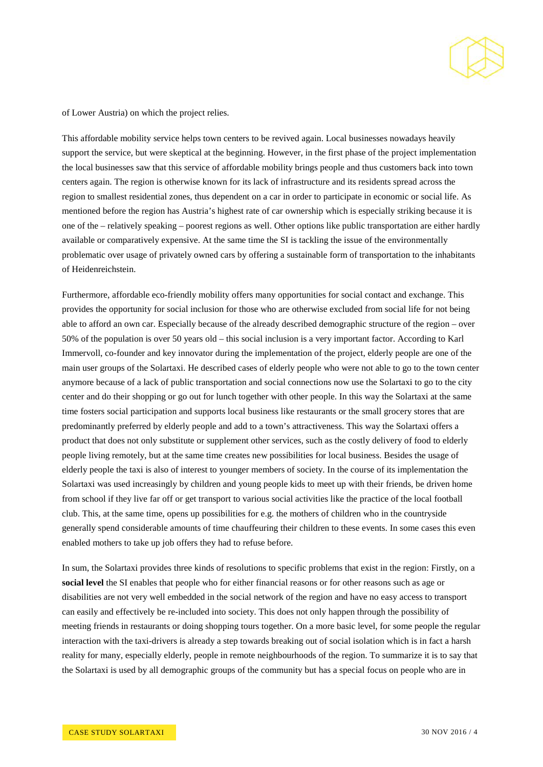

of Lower Austria) on which the project relies.

This affordable mobility service helps town centers to be revived again. Local businesses nowadays heavily support the service, but were skeptical at the beginning. However, in the first phase of the project implementation the local businesses saw that this service of affordable mobility brings people and thus customers back into town centers again. The region is otherwise known for its lack of infrastructure and its residents spread across the region to smallest residential zones, thus dependent on a car in order to participate in economic or social life. As mentioned before the region has Austria's highest rate of car ownership which is especially striking because it is one of the – relatively speaking – poorest regions as well. Other options like public transportation are either hardly available or comparatively expensive. At the same time the SI is tackling the issue of the environmentally problematic over usage of privately owned cars by offering a sustainable form of transportation to the inhabitants of Heidenreichstein.

Furthermore, affordable eco-friendly mobility offers many opportunities for social contact and exchange. This provides the opportunity for social inclusion for those who are otherwise excluded from social life for not being able to afford an own car. Especially because of the already described demographic structure of the region – over 50% of the population is over 50 years old – this social inclusion is a very important factor. According to Karl Immervoll, co-founder and key innovator during the implementation of the project, elderly people are one of the main user groups of the Solartaxi. He described cases of elderly people who were not able to go to the town center anymore because of a lack of public transportation and social connections now use the Solartaxi to go to the city center and do their shopping or go out for lunch together with other people. In this way the Solartaxi at the same time fosters social participation and supports local business like restaurants or the small grocery stores that are predominantly preferred by elderly people and add to a town's attractiveness. This way the Solartaxi offers a product that does not only substitute or supplement other services, such as the costly delivery of food to elderly people living remotely, but at the same time creates new possibilities for local business. Besides the usage of elderly people the taxi is also of interest to younger members of society. In the course of its implementation the Solartaxi was used increasingly by children and young people kids to meet up with their friends, be driven home from school if they live far off or get transport to various social activities like the practice of the local football club. This, at the same time, opens up possibilities for e.g. the mothers of children who in the countryside generally spend considerable amounts of time chauffeuring their children to these events. In some cases this even enabled mothers to take up job offers they had to refuse before.

In sum, the Solartaxi provides three kinds of resolutions to specific problems that exist in the region: Firstly, on a **social level** the SI enables that people who for either financial reasons or for other reasons such as age or disabilities are not very well embedded in the social network of the region and have no easy access to transport can easily and effectively be re-included into society. This does not only happen through the possibility of meeting friends in restaurants or doing shopping tours together. On a more basic level, for some people the regular interaction with the taxi-drivers is already a step towards breaking out of social isolation which is in fact a harsh reality for many, especially elderly, people in remote neighbourhoods of the region. To summarize it is to say that the Solartaxi is used by all demographic groups of the community but has a special focus on people who are in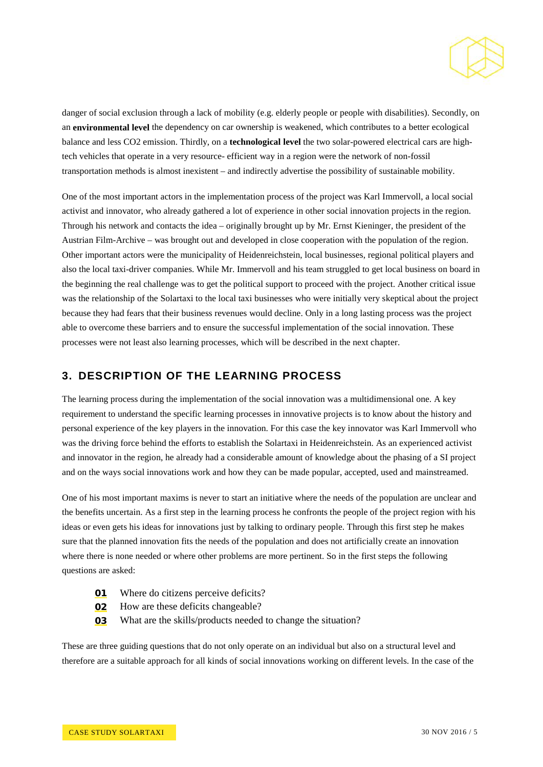

danger of social exclusion through a lack of mobility (e.g. elderly people or people with disabilities). Secondly, on an **environmental level** the dependency on car ownership is weakened, which contributes to a better ecological balance and less CO2 emission. Thirdly, on a **technological level** the two solar-powered electrical cars are hightech vehicles that operate in a very resource- efficient way in a region were the network of non-fossil transportation methods is almost inexistent – and indirectly advertise the possibility of sustainable mobility.

One of the most important actors in the implementation process of the project was Karl Immervoll, a local social activist and innovator, who already gathered a lot of experience in other social innovation projects in the region. Through his network and contacts the idea – originally brought up by Mr. Ernst Kieninger, the president of the Austrian Film-Archive – was brought out and developed in close cooperation with the population of the region. Other important actors were the municipality of Heidenreichstein, local businesses, regional political players and also the local taxi-driver companies. While Mr. Immervoll and his team struggled to get local business on board in the beginning the real challenge was to get the political support to proceed with the project. Another critical issue was the relationship of the Solartaxi to the local taxi businesses who were initially very skeptical about the project because they had fears that their business revenues would decline. Only in a long lasting process was the project able to overcome these barriers and to ensure the successful implementation of the social innovation. These processes were not least also learning processes, which will be described in the next chapter.

## **3. DESCRIPTION OF THE LEARNING PROCESS**

The learning process during the implementation of the social innovation was a multidimensional one. A key requirement to understand the specific learning processes in innovative projects is to know about the history and personal experience of the key players in the innovation. For this case the key innovator was Karl Immervoll who was the driving force behind the efforts to establish the Solartaxi in Heidenreichstein. As an experienced activist and innovator in the region, he already had a considerable amount of knowledge about the phasing of a SI project and on the ways social innovations work and how they can be made popular, accepted, used and mainstreamed.

One of his most important maxims is never to start an initiative where the needs of the population are unclear and the benefits uncertain. As a first step in the learning process he confronts the people of the project region with his ideas or even gets his ideas for innovations just by talking to ordinary people. Through this first step he makes sure that the planned innovation fits the needs of the population and does not artificially create an innovation where there is none needed or where other problems are more pertinent. So in the first steps the following questions are asked:

- **01** Where do citizens perceive deficits?
- **02** How are these deficits changeable?
- **03** What are the skills/products needed to change the situation?

These are three guiding questions that do not only operate on an individual but also on a structural level and therefore are a suitable approach for all kinds of social innovations working on different levels. In the case of the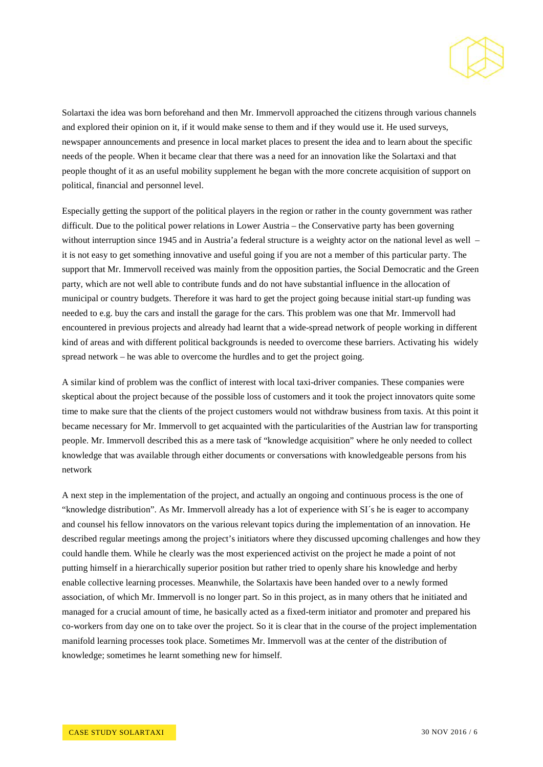

Solartaxi the idea was born beforehand and then Mr. Immervoll approached the citizens through various channels and explored their opinion on it, if it would make sense to them and if they would use it. He used surveys, newspaper announcements and presence in local market places to present the idea and to learn about the specific needs of the people. When it became clear that there was a need for an innovation like the Solartaxi and that people thought of it as an useful mobility supplement he began with the more concrete acquisition of support on political, financial and personnel level.

Especially getting the support of the political players in the region or rather in the county government was rather difficult. Due to the political power relations in Lower Austria – the Conservative party has been governing without interruption since 1945 and in Austria'a federal structure is a weighty actor on the national level as well – it is not easy to get something innovative and useful going if you are not a member of this particular party. The support that Mr. Immervoll received was mainly from the opposition parties, the Social Democratic and the Green party, which are not well able to contribute funds and do not have substantial influence in the allocation of municipal or country budgets. Therefore it was hard to get the project going because initial start-up funding was needed to e.g. buy the cars and install the garage for the cars. This problem was one that Mr. Immervoll had encountered in previous projects and already had learnt that a wide-spread network of people working in different kind of areas and with different political backgrounds is needed to overcome these barriers. Activating his widely spread network – he was able to overcome the hurdles and to get the project going.

A similar kind of problem was the conflict of interest with local taxi-driver companies. These companies were skeptical about the project because of the possible loss of customers and it took the project innovators quite some time to make sure that the clients of the project customers would not withdraw business from taxis. At this point it became necessary for Mr. Immervoll to get acquainted with the particularities of the Austrian law for transporting people. Mr. Immervoll described this as a mere task of "knowledge acquisition" where he only needed to collect knowledge that was available through either documents or conversations with knowledgeable persons from his network

A next step in the implementation of the project, and actually an ongoing and continuous process is the one of "knowledge distribution". As Mr. Immervoll already has a lot of experience with SI´s he is eager to accompany and counsel his fellow innovators on the various relevant topics during the implementation of an innovation. He described regular meetings among the project's initiators where they discussed upcoming challenges and how they could handle them. While he clearly was the most experienced activist on the project he made a point of not putting himself in a hierarchically superior position but rather tried to openly share his knowledge and herby enable collective learning processes. Meanwhile, the Solartaxis have been handed over to a newly formed association, of which Mr. Immervoll is no longer part. So in this project, as in many others that he initiated and managed for a crucial amount of time, he basically acted as a fixed-term initiator and promoter and prepared his co-workers from day one on to take over the project. So it is clear that in the course of the project implementation manifold learning processes took place. Sometimes Mr. Immervoll was at the center of the distribution of knowledge; sometimes he learnt something new for himself.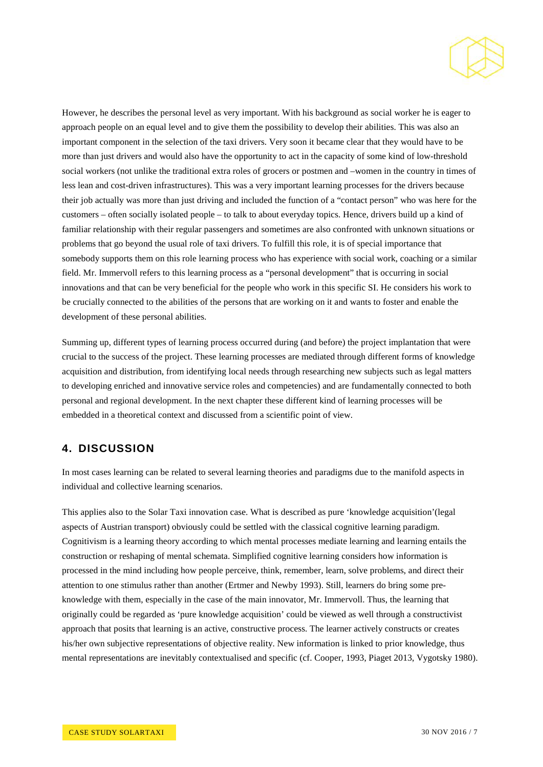

However, he describes the personal level as very important. With his background as social worker he is eager to approach people on an equal level and to give them the possibility to develop their abilities. This was also an important component in the selection of the taxi drivers. Very soon it became clear that they would have to be more than just drivers and would also have the opportunity to act in the capacity of some kind of low-threshold social workers (not unlike the traditional extra roles of grocers or postmen and –women in the country in times of less lean and cost-driven infrastructures). This was a very important learning processes for the drivers because their job actually was more than just driving and included the function of a "contact person" who was here for the customers – often socially isolated people – to talk to about everyday topics. Hence, drivers build up a kind of familiar relationship with their regular passengers and sometimes are also confronted with unknown situations or problems that go beyond the usual role of taxi drivers. To fulfill this role, it is of special importance that somebody supports them on this role learning process who has experience with social work, coaching or a similar field. Mr. Immervoll refers to this learning process as a "personal development" that is occurring in social innovations and that can be very beneficial for the people who work in this specific SI. He considers his work to be crucially connected to the abilities of the persons that are working on it and wants to foster and enable the development of these personal abilities.

Summing up, different types of learning process occurred during (and before) the project implantation that were crucial to the success of the project. These learning processes are mediated through different forms of knowledge acquisition and distribution, from identifying local needs through researching new subjects such as legal matters to developing enriched and innovative service roles and competencies) and are fundamentally connected to both personal and regional development. In the next chapter these different kind of learning processes will be embedded in a theoretical context and discussed from a scientific point of view.

## **4. DISCUSSION**

In most cases learning can be related to several learning theories and paradigms due to the manifold aspects in individual and collective learning scenarios.

This applies also to the Solar Taxi innovation case. What is described as pure 'knowledge acquisition'(legal aspects of Austrian transport) obviously could be settled with the classical cognitive learning paradigm. Cognitivism is a learning theory according to which mental processes mediate learning and learning entails the construction or reshaping of mental schemata. Simplified cognitive learning considers how information is processed in the mind including how people perceive, think, remember, learn, solve problems, and direct their attention to one stimulus rather than another (Ertmer and Newby 1993). Still, learners do bring some preknowledge with them, especially in the case of the main innovator, Mr. Immervoll. Thus, the learning that originally could be regarded as 'pure knowledge acquisition' could be viewed as well through a constructivist approach that posits that learning is an active, constructive process. The learner actively constructs or creates his/her own subjective representations of objective reality. New information is linked to prior knowledge, thus mental representations are inevitably contextualised and specific (cf. Cooper, 1993, Piaget 2013, Vygotsky 1980).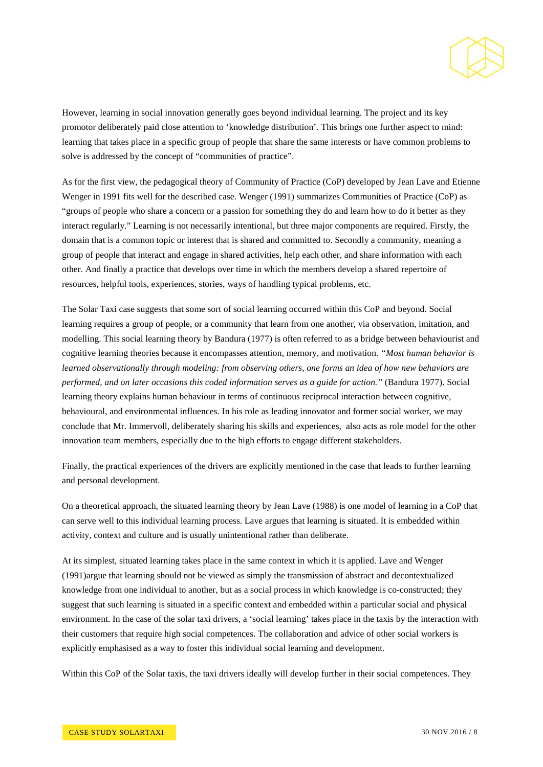

However, learning in social innovation generally goes beyond individual learning. The project and its key promotor deliberately paid close attention to 'knowledge distribution'. This brings one further aspect to mind: learning that takes place in a specific group of people that share the same interests or have common problems to solve is addressed by the concept of "communities of practice".

As for the first view, the pedagogical theory of Community of Practice (CoP) developed by Jean Lave and Etienne Wenger in 1991 fits well for the described case. Wenger (1991) summarizes Communities of Practice (CoP) as "groups of people who share a concern or a passion for something they do and learn how to do it better as they interact regularly." Learning is not necessarily intentional, but three major components are required. Firstly, the domain that is a common topic or interest that is shared and committed to. Secondly a community, meaning a group of people that interact and engage in shared activities, help each other, and share information with each other. And finally a practice that develops over time in which the members develop a shared repertoire of resources, helpful tools, experiences, stories, ways of handling typical problems, etc.

The Solar Taxi case suggests that some sort of social learning occurred within this CoP and beyond. Social learning requires a group of people, or a community that learn from one another, via observation, imitation, and modelling. This social learning theory by Bandura (1977) is often referred to as a bridge between behaviourist and cognitive learning theories because it encompasses attention, memory, and motivation. *"Most human behavior is learned observationally through modeling: from observing others, one forms an idea of how new behaviors are performed, and on later occasions this coded information serves as a guide for action."* (Bandura 1977). Social learning theory explains human behaviour in terms of continuous reciprocal interaction between cognitive, behavioural, and environmental influences. In his role as leading innovator and former social worker, we may conclude that Mr. Immervoll, deliberately sharing his skills and experiences, also acts as role model for the other innovation team members, especially due to the high efforts to engage different stakeholders.

Finally, the practical experiences of the drivers are explicitly mentioned in the case that leads to further learning and personal development.

On a theoretical approach, the situated learning theory by Jean Lave (1988) is one model o[f learning](https://en.wikipedia.org/wiki/Learning) in a CoP that can serve well to this individual learning process. Lave argues that learning is situated. It is embedded within activity, context and culture and is usually unintentional rather than deliberate.

At its simplest, situated learning takes place in the same context in which it is applied. Lave and Wenger (1991)argue that learning should not be viewed as simply the transmission of abstract and decontextualized knowledge from one individual to another, but as a social process in which knowledge is co-constructed; they suggest that such learning is situated in a specific context and embedded within a particular social and physical environment. In the case of the solar taxi drivers, a 'social learning' takes place in the taxis by the interaction with their customers that require high social competences. The collaboration and advice of other social workers is explicitly emphasised as a way to foster this individual social learning and development.

Within this CoP of the Solar taxis, the taxi drivers ideally will develop further in their social competences. They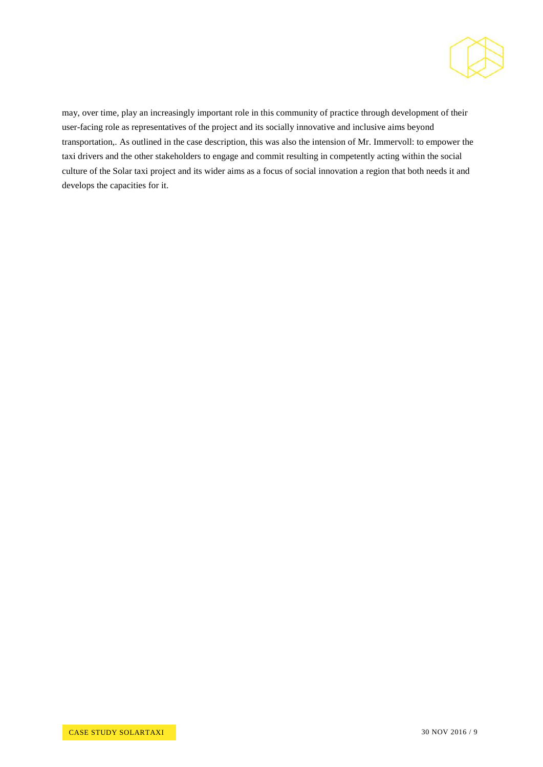

may, over time, play an increasingly important role in this community of practice through development of their user-facing role as representatives of the project and its socially innovative and inclusive aims beyond transportation,. As outlined in the case description, this was also the intension of Mr. Immervoll: to empower the taxi drivers and the other stakeholders to engage and commit resulting in competently acting within the social culture of the Solar taxi project and its wider aims as a focus of social innovation a region that both needs it and develops the capacities for it.